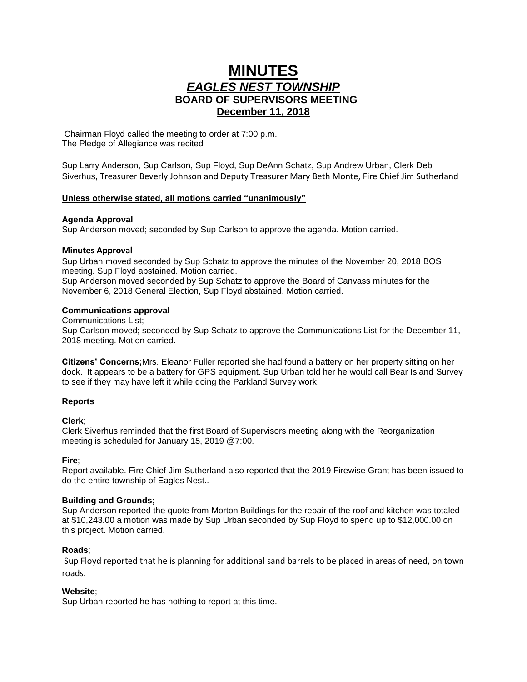# **MINUTES** *EAGLES NEST TOWNSHIP*  **BOARD OF SUPERVISORS MEETING December 11, 2018**

Chairman Floyd called the meeting to order at 7:00 p.m. The Pledge of Allegiance was recited

Sup Larry Anderson, Sup Carlson, Sup Floyd, Sup DeAnn Schatz, Sup Andrew Urban, Clerk Deb Siverhus, Treasurer Beverly Johnson and Deputy Treasurer Mary Beth Monte, Fire Chief Jim Sutherland

# **Unless otherwise stated, all motions carried "unanimously"**

## **Agenda Approval**

Sup Anderson moved; seconded by Sup Carlson to approve the agenda. Motion carried.

# **Minutes Approval**

Sup Urban moved seconded by Sup Schatz to approve the minutes of the November 20, 2018 BOS meeting. Sup Floyd abstained. Motion carried.

Sup Anderson moved seconded by Sup Schatz to approve the Board of Canvass minutes for the November 6, 2018 General Election, Sup Floyd abstained. Motion carried.

# **Communications approval**

Communications List;

Sup Carlson moved; seconded by Sup Schatz to approve the Communications List for the December 11, 2018 meeting. Motion carried.

**Citizens' Concerns;**Mrs. Eleanor Fuller reported she had found a battery on her property sitting on her dock. It appears to be a battery for GPS equipment. Sup Urban told her he would call Bear Island Survey to see if they may have left it while doing the Parkland Survey work.

## **Reports**

# **Clerk**;

Clerk Siverhus reminded that the first Board of Supervisors meeting along with the Reorganization meeting is scheduled for January 15, 2019 @7:00.

## **Fire**;

Report available. Fire Chief Jim Sutherland also reported that the 2019 Firewise Grant has been issued to do the entire township of Eagles Nest..

## **Building and Grounds;**

Sup Anderson reported the quote from Morton Buildings for the repair of the roof and kitchen was totaled at \$10,243.00 a motion was made by Sup Urban seconded by Sup Floyd to spend up to \$12,000.00 on this project. Motion carried.

## **Roads**;

Sup Floyd reported that he is planning for additional sand barrels to be placed in areas of need, on town roads.

## **Website**;

Sup Urban reported he has nothing to report at this time.